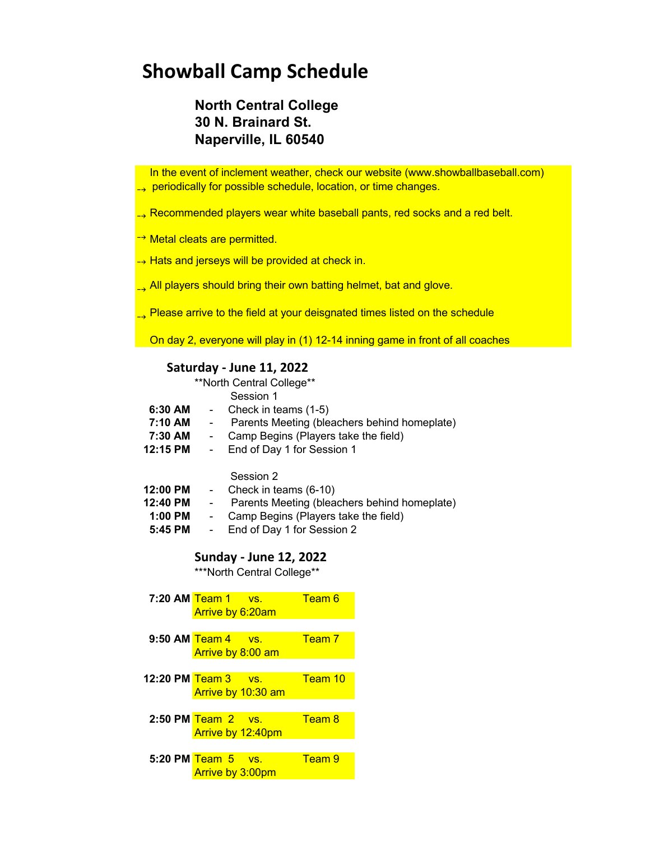## **Showball Camp Schedule**

### **North Central College 30 N. Brainard St. Naperville, IL 60540**

 In the event of inclement weather, check our website (www.showballbaseball.com)  $\rightarrow$  periodically for possible schedule, location, or time changes.

- $\rightarrow$  Recommended players wear white baseball pants, red socks and a red belt.
- → Metal cleats are permitted.
- → Hats and jerseys will be provided at check in.
- All players should bring their own batting helmet, bat and glove.
- $\rightarrow$  Please arrive to the field at your deisgnated times listed on the schedule

On day 2, everyone will play in (1) 12-14 inning game in front of all coaches

#### **Saturday - June 11, 2022**

\*\*North Central College\*\*

Session 1

- **6:30 AM** Check in teams (1-5)
- **7:10 AM** Parents Meeting (bleachers behind homeplate)
- **7:30 AM** Camp Begins (Players take the field)<br>**12:15 PM** End of Dav 1 for Session 1
- **12:15 PM** End of Day 1 for Session 1

Session 2

- **12:00 PM** Check in teams (6-10)
- **12:40 PM** Parents Meeting (bleachers behind homeplate)
- **1:00 PM** Camp Begins (Players take the field)
- **5:45 PM** End of Day 1 for Session 2

#### **Sunday - June 12, 2022**

\*\*\*North Central College\*\*

|                     | $7:20$ AM Team $1$ vs.<br>Arrive by 6:20am |                              | Team 6  |
|---------------------|--------------------------------------------|------------------------------|---------|
|                     |                                            |                              |         |
| 9:50 AM Team 4      |                                            | $\overline{\phantom{a}}$ VS. | Team 7  |
|                     | Arrive by 8:00 am                          |                              |         |
|                     |                                            |                              |         |
| 12:20 PM Team 3 vs. |                                            |                              | Team 10 |
|                     |                                            | Arrive by 10:30 am           |         |
|                     |                                            |                              |         |
|                     | $2:50$ PM Team $2$ vs.                     |                              | Team 8  |
|                     | Arrive by 12:40pm                          |                              |         |
|                     |                                            |                              |         |
|                     | 5:20 PM Team 5 vs.                         |                              | Team 9  |
|                     | <b>Arrive by 3:00pm</b>                    |                              |         |